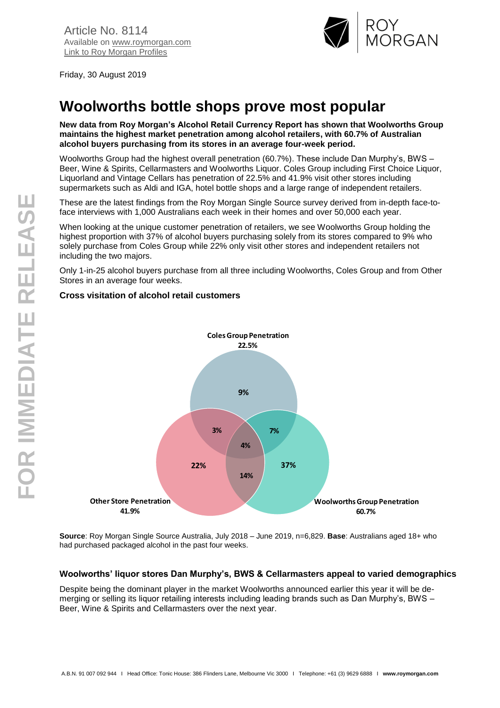

Friday, 30 August 2019

# **Woolworths bottle shops prove most popular**

**New data from Roy Morgan's Alcohol Retail Currency Report has shown that Woolworths Group maintains the highest market penetration among alcohol retailers, with 60.7% of Australian alcohol buyers purchasing from its stores in an average four-week period.**

Woolworths Group had the highest overall penetration (60.7%). These include Dan Murphy's, BWS – Beer, Wine & Spirits, Cellarmasters and Woolworths Liquor. Coles Group including First Choice Liquor, Liquorland and Vintage Cellars has penetration of 22.5% and 41.9% visit other stores including supermarkets such as Aldi and IGA, hotel bottle shops and a large range of independent retailers.

These are the latest findings from the Roy Morgan Single Source survey derived from in-depth face-toface interviews with 1,000 Australians each week in their homes and over 50,000 each year.

When looking at the unique customer penetration of retailers, we see Woolworths Group holding the highest proportion with 37% of alcohol buyers purchasing solely from its stores compared to 9% who solely purchase from Coles Group while 22% only visit other stores and independent retailers not including the two majors.

Only 1-in-25 alcohol buyers purchase from all three including Woolworths, Coles Group and from Other Stores in an average four weeks.

## **Cross visitation of alcohol retail customers**



**Source**: Roy Morgan Single Source Australia, July 2018 – June 2019, n=6,829. **Base**: Australians aged 18+ who had purchased packaged alcohol in the past four weeks.

## **Woolworths' liquor stores Dan Murphy's, BWS & Cellarmasters appeal to varied demographics**

Despite being the dominant player in the market Woolworths announced earlier this year it will be demerging or selling its liquor retailing interests including leading brands such as Dan Murphy's, BWS – Beer, Wine & Spirits and Cellarmasters over the next year.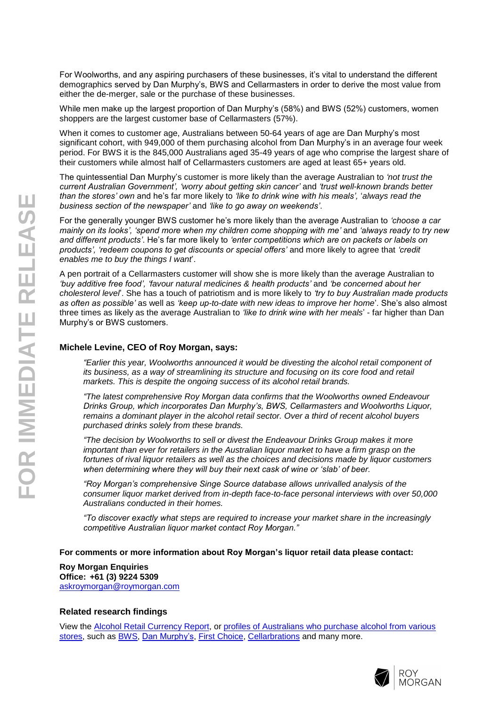For Woolworths, and any aspiring purchasers of these businesses, it's vital to understand the different demographics served by Dan Murphy's, BWS and Cellarmasters in order to derive the most value from either the de-merger, sale or the purchase of these businesses.

While men make up the largest proportion of Dan Murphy's (58%) and BWS (52%) customers, women shoppers are the largest customer base of Cellarmasters (57%).

When it comes to customer age, Australians between 50-64 years of age are Dan Murphy's most significant cohort, with 949,000 of them purchasing alcohol from Dan Murphy's in an average four week period. For BWS it is the 845,000 Australians aged 35-49 years of age who comprise the largest share of their customers while almost half of Cellarmasters customers are aged at least 65+ years old.

The quintessential Dan Murphy's customer is more likely than the average Australian to *'not trust the current Australian Government', 'worry about getting skin cancer'* and *'trust well-known brands better than the stores' own* and he's far more likely to *'like to drink wine with his meals',* '*always read the business section of the newspaper'* and *'like to go away on weekends'*.

For the generally younger BWS customer he's more likely than the average Australian to *'choose a car mainly on its looks', 'spend more when my children come shopping with me'* and *'always ready to try new and different products'*. He's far more likely to *'enter competitions which are on packets or labels on products', 'redeem coupons to get discounts or special offers'* and more likely to agree that *'credit enables me to buy the things I want*'.

A pen portrait of a Cellarmasters customer will show she is more likely than the average Australian to *'buy additive free food', 'favour natural medicines & health products'* and *'be concerned about her cholesterol level*'. She has a touch of patriotism and is more likely to *'try to buy Australian made products as often as possible'* as well as *'keep up-to-date with new ideas to improve her home*'. She's also almost three times as likely as the average Australian to *'like to drink wine with her meals*' - far higher than Dan Murphy's or BWS customers.

#### **Michele Levine, CEO of Roy Morgan, says:**

*"Earlier this year, Woolworths announced it would be divesting the alcohol retail component of its business, as a way of streamlining its structure and focusing on its core food and retail markets. This is despite the ongoing success of its alcohol retail brands.*

*"The latest comprehensive Roy Morgan data confirms that the Woolworths owned Endeavour Drinks Group, which incorporates Dan Murphy's, BWS, Cellarmasters and Woolworths Liquor, remains a dominant player in the alcohol retail sector. Over a third of recent alcohol buyers purchased drinks solely from these brands.*

*"The decision by Woolworths to sell or divest the Endeavour Drinks Group makes it more important than ever for retailers in the Australian liquor market to have a firm grasp on the fortunes of rival liquor retailers as well as the choices and decisions made by liquor customers when determining where they will buy their next cask of wine or 'slab' of beer.*

*"Roy Morgan's comprehensive Singe Source database allows unrivalled analysis of the consumer liquor market derived from in-depth face-to-face personal interviews with over 50,000 Australians conducted in their homes.*

*"To discover exactly what steps are required to increase your market share in the increasingly competitive Australian liquor market contact Roy Morgan."*

**For comments or more information about Roy Morgan's liquor retail data please contact:**

**Roy Morgan Enquiries Office: +61 (3) 9224 5309** [askroymorgan@roymorgan.com](mailto:askroymorgan@roymorgan.com)

## **Related research findings**

View the Alcohol Retail [Currency Report,](https://store.roymorgan.com/product/Alcohol-Retail-Currency-Report-4844) or [profiles of Australians who purchase alcohol from various](https://store.roymorgan.com/products/australia/alcohol/liquor-stores)  [stores,](https://store.roymorgan.com/products/australia/alcohol/liquor-stores) such as [BWS, Dan Murphy's, First Choice, Cellarbrations](https://store.roymorgan.com/products/australia/alcohol/liquor-stores) and many more.